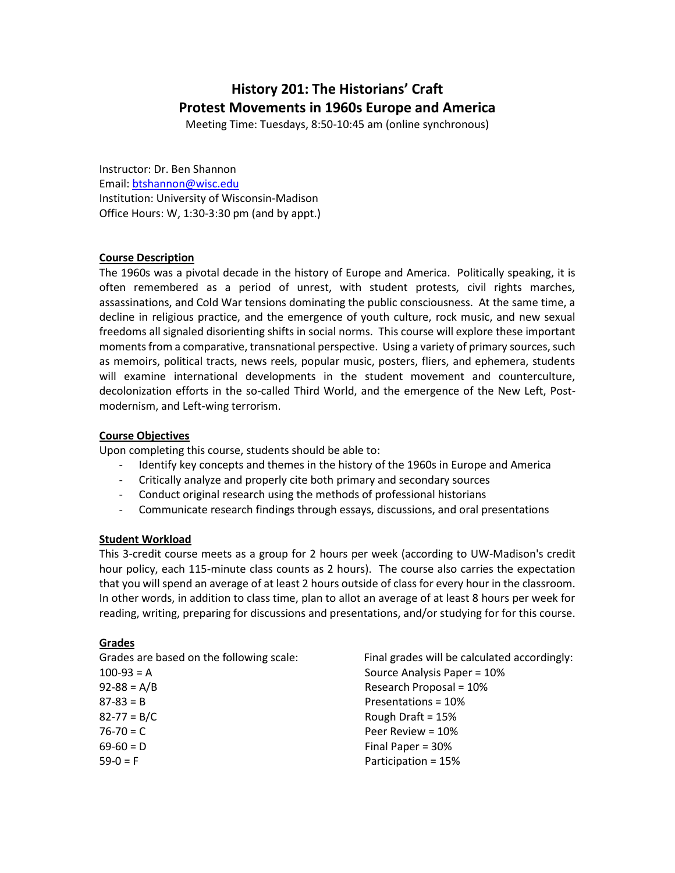# **History 201: The Historians' Craft Protest Movements in 1960s Europe and America**

Meeting Time: Tuesdays, 8:50-10:45 am (online synchronous)

Instructor: Dr. Ben Shannon Email: [btshannon@wisc.edu](mailto:btshannon@wisc.edu)  Institution: University of Wisconsin-Madison Office Hours: W, 1:30-3:30 pm (and by appt.)

# **Course Description**

The 1960s was a pivotal decade in the history of Europe and America. Politically speaking, it is often remembered as a period of unrest, with student protests, civil rights marches, assassinations, and Cold War tensions dominating the public consciousness. At the same time, a decline in religious practice, and the emergence of youth culture, rock music, and new sexual freedoms all signaled disorienting shifts in social norms. This course will explore these important moments from a comparative, transnational perspective. Using a variety of primary sources, such as memoirs, political tracts, news reels, popular music, posters, fliers, and ephemera, students will examine international developments in the student movement and counterculture, decolonization efforts in the so-called Third World, and the emergence of the New Left, Postmodernism, and Left-wing terrorism.

# **Course Objectives**

Upon completing this course, students should be able to:

- Identify key concepts and themes in the history of the 1960s in Europe and America
- Critically analyze and properly cite both primary and secondary sources
- Conduct original research using the methods of professional historians
- Communicate research findings through essays, discussions, and oral presentations

# **Student Workload**

This 3-credit course meets as a group for 2 hours per week (according to UW-Madison's credit hour policy, each 115-minute class counts as 2 hours). The course also carries the expectation that you will spend an average of at least 2 hours outside of class for every hour in the classroom. In other words, in addition to class time, plan to allot an average of at least 8 hours per week for reading, writing, preparing for discussions and presentations, and/or studying for for this course.

# **Grades**

| Final grades will be calculated accordingly: |
|----------------------------------------------|
| Source Analysis Paper = 10%                  |
| Research Proposal = 10%                      |
| Presentations = 10%                          |
| Rough Draft = $15%$                          |
| Peer Review = 10%                            |
| Final Paper = $30\%$                         |
| Participation = 15%                          |
|                                              |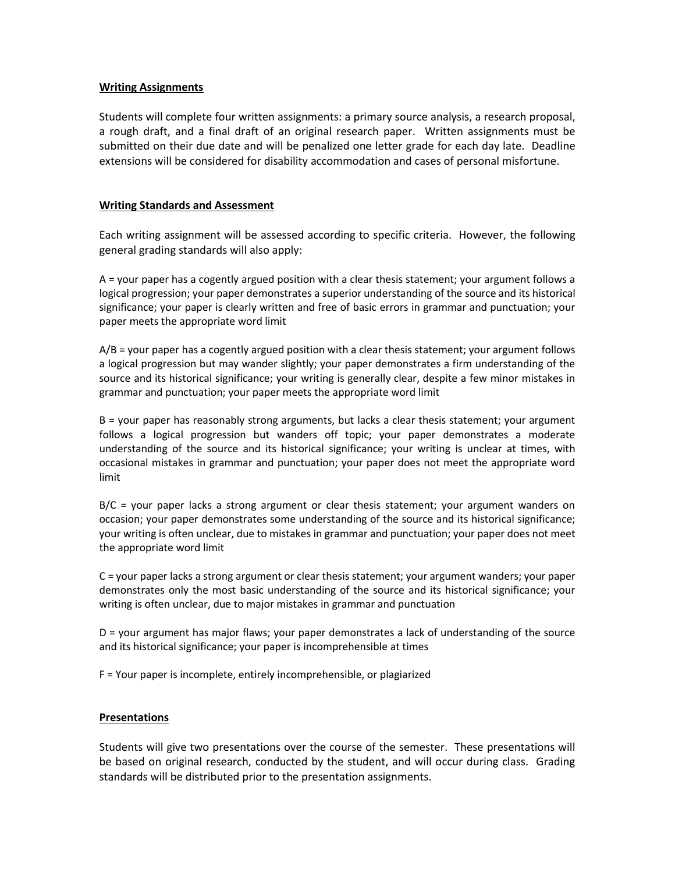# **Writing Assignments**

Students will complete four written assignments: a primary source analysis, a research proposal, a rough draft, and a final draft of an original research paper. Written assignments must be submitted on their due date and will be penalized one letter grade for each day late. Deadline extensions will be considered for disability accommodation and cases of personal misfortune.

# **Writing Standards and Assessment**

Each writing assignment will be assessed according to specific criteria. However, the following general grading standards will also apply:

A = your paper has a cogently argued position with a clear thesis statement; your argument follows a logical progression; your paper demonstrates a superior understanding of the source and its historical significance; your paper is clearly written and free of basic errors in grammar and punctuation; your paper meets the appropriate word limit

A/B = your paper has a cogently argued position with a clear thesis statement; your argument follows a logical progression but may wander slightly; your paper demonstrates a firm understanding of the source and its historical significance; your writing is generally clear, despite a few minor mistakes in grammar and punctuation; your paper meets the appropriate word limit

B = your paper has reasonably strong arguments, but lacks a clear thesis statement; your argument follows a logical progression but wanders off topic; your paper demonstrates a moderate understanding of the source and its historical significance; your writing is unclear at times, with occasional mistakes in grammar and punctuation; your paper does not meet the appropriate word limit

B/C = your paper lacks a strong argument or clear thesis statement; your argument wanders on occasion; your paper demonstrates some understanding of the source and its historical significance; your writing is often unclear, due to mistakes in grammar and punctuation; your paper does not meet the appropriate word limit

C = your paper lacks a strong argument or clear thesis statement; your argument wanders; your paper demonstrates only the most basic understanding of the source and its historical significance; your writing is often unclear, due to major mistakes in grammar and punctuation

D = your argument has major flaws; your paper demonstrates a lack of understanding of the source and its historical significance; your paper is incomprehensible at times

F = Your paper is incomplete, entirely incomprehensible, or plagiarized

# **Presentations**

Students will give two presentations over the course of the semester. These presentations will be based on original research, conducted by the student, and will occur during class. Grading standards will be distributed prior to the presentation assignments.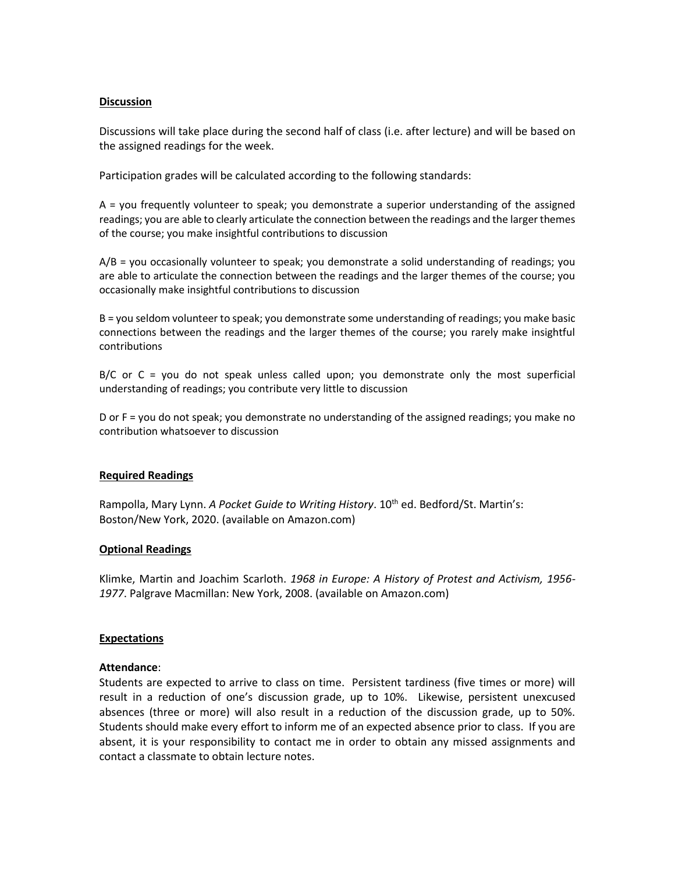# **Discussion**

Discussions will take place during the second half of class (i.e. after lecture) and will be based on the assigned readings for the week.

Participation grades will be calculated according to the following standards:

A = you frequently volunteer to speak; you demonstrate a superior understanding of the assigned readings; you are able to clearly articulate the connection between the readings and the larger themes of the course; you make insightful contributions to discussion

A/B = you occasionally volunteer to speak; you demonstrate a solid understanding of readings; you are able to articulate the connection between the readings and the larger themes of the course; you occasionally make insightful contributions to discussion

B = you seldom volunteer to speak; you demonstrate some understanding of readings; you make basic connections between the readings and the larger themes of the course; you rarely make insightful contributions

B/C or C = you do not speak unless called upon; you demonstrate only the most superficial understanding of readings; you contribute very little to discussion

D or F = you do not speak; you demonstrate no understanding of the assigned readings; you make no contribution whatsoever to discussion

# **Required Readings**

Rampolla, Mary Lynn. *A Pocket Guide to Writing History*. 10<sup>th</sup> ed. Bedford/St. Martin's: Boston/New York, 2020. (available on Amazon.com)

# **Optional Readings**

Klimke, Martin and Joachim Scarloth. *1968 in Europe: A History of Protest and Activism, 1956- 1977*. Palgrave Macmillan: New York, 2008. (available on Amazon.com)

# **Expectations**

# **Attendance**:

Students are expected to arrive to class on time. Persistent tardiness (five times or more) will result in a reduction of one's discussion grade, up to 10%. Likewise, persistent unexcused absences (three or more) will also result in a reduction of the discussion grade, up to 50%. Students should make every effort to inform me of an expected absence prior to class. If you are absent, it is your responsibility to contact me in order to obtain any missed assignments and contact a classmate to obtain lecture notes.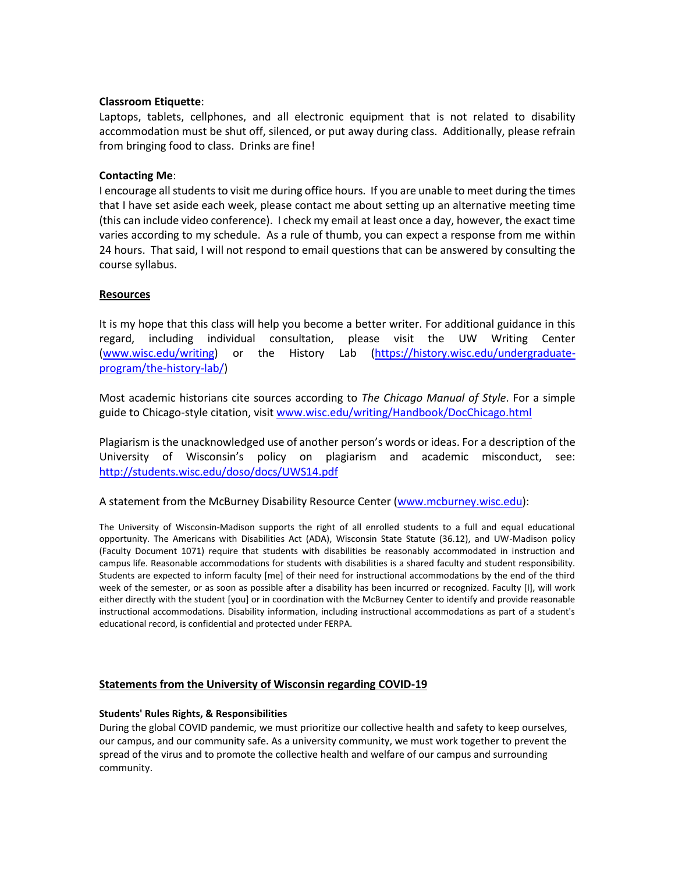# **Classroom Etiquette**:

Laptops, tablets, cellphones, and all electronic equipment that is not related to disability accommodation must be shut off, silenced, or put away during class. Additionally, please refrain from bringing food to class. Drinks are fine!

# **Contacting Me**:

I encourage all students to visit me during office hours. If you are unable to meet during the times that I have set aside each week, please contact me about setting up an alternative meeting time (this can include video conference). I check my email at least once a day, however, the exact time varies according to my schedule. As a rule of thumb, you can expect a response from me within 24 hours. That said, I will not respond to email questions that can be answered by consulting the course syllabus.

# **Resources**

It is my hope that this class will help you become a better writer. For additional guidance in this regard, including individual consultation, please visit the UW Writing Center [\(www.wisc.edu/writing\)](http://www.wisc.edu/writing) or the History Lab [\(https://history.wisc.edu/undergraduate](https://history.wisc.edu/undergraduate-program/the-history-lab/)[program/the-history-lab/\)](https://history.wisc.edu/undergraduate-program/the-history-lab/)

Most academic historians cite sources according to *The Chicago Manual of Style*. For a simple guide to Chicago-style citation, visi[t www.wisc.edu/writing/Handbook/DocChicago.html](http://www.wisc.edu/writing/Handbook/DocChicago.html)

Plagiarism is the unacknowledged use of another person's words or ideas. For a description of the University of Wisconsin's policy on plagiarism and academic misconduct, see: <http://students.wisc.edu/doso/docs/UWS14.pdf>

A statement from the McBurney Disability Resource Center [\(www.mcburney.wisc.edu\)](http://www.mcburney.wisc.edu/):

The University of Wisconsin-Madison supports the right of all enrolled students to a full and equal educational opportunity. The Americans with Disabilities Act (ADA), Wisconsin State Statute (36.12), and UW-Madison policy (Faculty Document 1071) require that students with disabilities be reasonably accommodated in instruction and campus life. Reasonable accommodations for students with disabilities is a shared faculty and student responsibility. Students are expected to inform faculty [me] of their need for instructional accommodations by the end of the third week of the semester, or as soon as possible after a disability has been incurred or recognized. Faculty [I], will work either directly with the student [you] or in coordination with the McBurney Center to identify and provide reasonable instructional accommodations. Disability information, including instructional accommodations as part of a student's educational record, is confidential and protected under FERPA.

# **Statements from the University of Wisconsin regarding COVID-19**

# **Students' Rules [Rights, & Responsibilities](https://guide.wisc.edu/undergraduate/#rulesrightsandresponsibilitiestext)**

During the global COVID pandemic, we must prioritize our collective health and safety to keep ourselves, our campus, and our community safe. As a university community, we must work together to prevent the spread of the virus and to promote the collective health and welfare of our campus and surrounding community.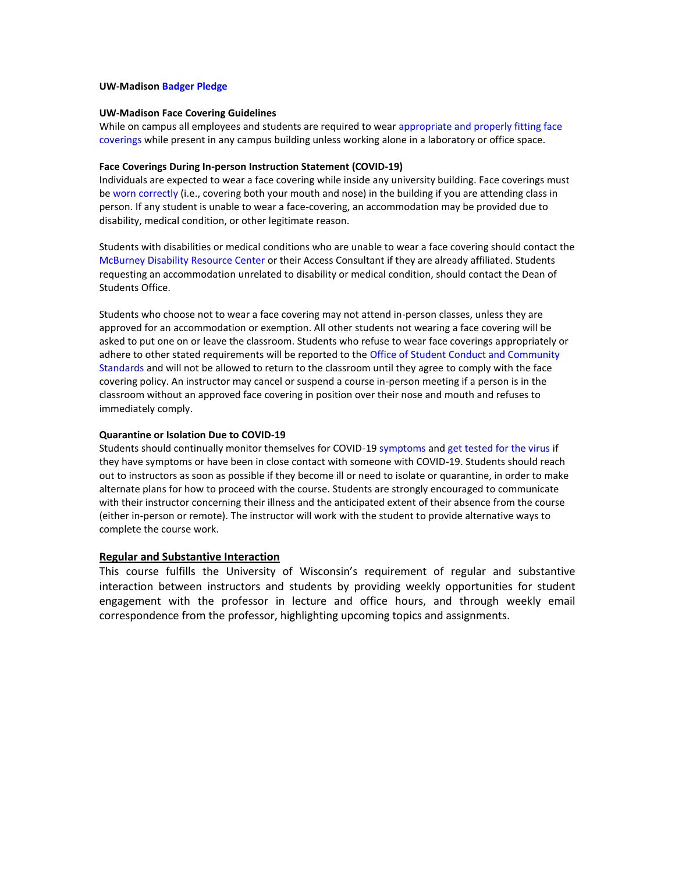#### **UW-Madison [Badger Pledge](https://smartrestart.wisc.edu/badgerpledge/)**

#### **UW-Madison [Face Covering Guidelines](https://d1cjb8q1w2lzm7.cloudfront.net/wp-content/uploads/sites/22/2020/06/Cloth-face-cover-guidance-06-22-20-final.pdf)**

While on campus all employees and students are required to wear appropriate and properly fitting face [coverings](https://www.cdc.gov/coronavirus/2019-ncov/prevent-getting-sick/how-to-wear-cloth-face-coverings.html) while present in any campus building unless working alone in a laboratory or office space.

#### **Face Coverings During In-person Instruction Statement (COVID-19)**

Individuals are expected to wear a face covering while inside any university building. Face coverings must b[e worn correctly](https://www.cdc.gov/coronavirus/2019-ncov/prevent-getting-sick/how-to-wear-cloth-face-coverings.html) (i.e., covering both your mouth and nose) in the building if you are attending class in person. If any student is unable to wear a face-covering, an accommodation may be provided due to disability, medical condition, or other legitimate reason.

Students with disabilities or medical conditions who are unable to wear a face covering should contact the [McBurney Disability Resource Center](https://mcburney.wisc.edu/) or their Access Consultant if they are already affiliated. Students requesting an accommodation unrelated to disability or medical condition, should contact the Dean of Students Office.

Students who choose not to wear a face covering may not attend in-person classes, unless they are approved for an accommodation or exemption. All other students not wearing a face covering will be asked to put one on or leave the classroom. Students who refuse to wear face coverings appropriately or adhere to other stated requirements will be reported to th[e Office of Student Conduct and Community](https://conduct.students.wisc.edu/)  [Standards](https://conduct.students.wisc.edu/) and will not be allowed to return to the classroom until they agree to comply with the face covering policy. An instructor may cancel or suspend a course in-person meeting if a person is in the classroom without an approved face covering in position over their nose and mouth and refuses to immediately comply.

#### **Quarantine or Isolation Due to COVID-19**

Students should continually monitor themselves for COVID-19 [symptoms](https://healthscreen.wisc.edu/) an[d get tested for the virus](https://www.uhs.wisc.edu/medical/testing/) if they have symptoms or have been in close contact with someone with COVID-19. Students should reach out to instructors as soon as possible if they become ill or need to isolate or quarantine, in order to make alternate plans for how to proceed with the course. Students are strongly encouraged to communicate with their instructor concerning their illness and the anticipated extent of their absence from the course (either in-person or remote). The instructor will work with the student to provide alternative ways to complete the course work.

#### **Regular and Substantive Interaction**

This course fulfills the University of Wisconsin's requirement of regular and substantive interaction between instructors and students by providing weekly opportunities for student engagement with the professor in lecture and office hours, and through weekly email correspondence from the professor, highlighting upcoming topics and assignments.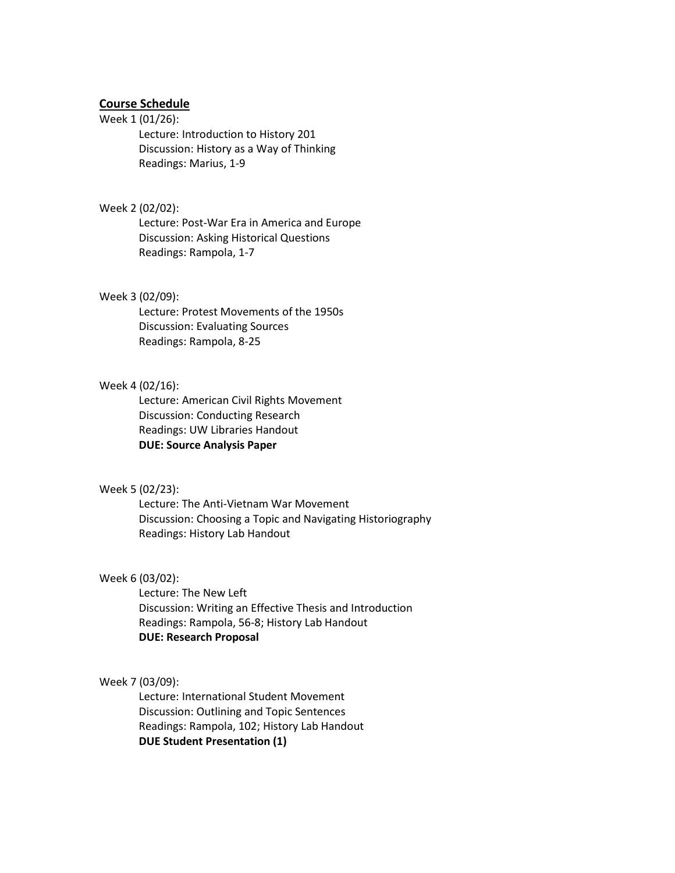# **Course Schedule**

#### Week 1 (01/26):

Lecture: Introduction to History 201 Discussion: History as a Way of Thinking Readings: Marius, 1-9

# Week 2 (02/02):

Lecture: Post-War Era in America and Europe Discussion: Asking Historical Questions Readings: Rampola, 1-7

### Week 3 (02/09):

Lecture: Protest Movements of the 1950s Discussion: Evaluating Sources Readings: Rampola, 8-25

# Week 4 (02/16):

Lecture: American Civil Rights Movement Discussion: Conducting Research Readings: UW Libraries Handout **DUE: Source Analysis Paper**

### Week 5 (02/23):

Lecture: The Anti-Vietnam War Movement Discussion: Choosing a Topic and Navigating Historiography Readings: History Lab Handout

#### Week 6 (03/02):

Lecture: The New Left Discussion: Writing an Effective Thesis and Introduction Readings: Rampola, 56-8; History Lab Handout **DUE: Research Proposal**

# Week 7 (03/09):

Lecture: International Student Movement Discussion: Outlining and Topic Sentences Readings: Rampola, 102; History Lab Handout **DUE Student Presentation (1)**